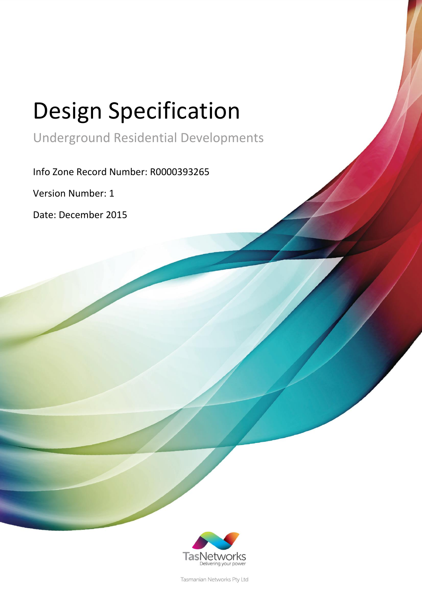# Design Specification

Underground Residential Developments

Info Zone Record Number: R0000393265

Version Number: 1

Date: December 2015



Tasmanian Networks Pty Ltd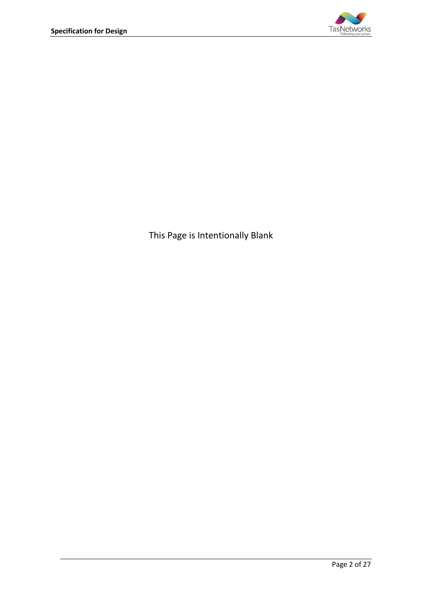

This Page is Intentionally Blank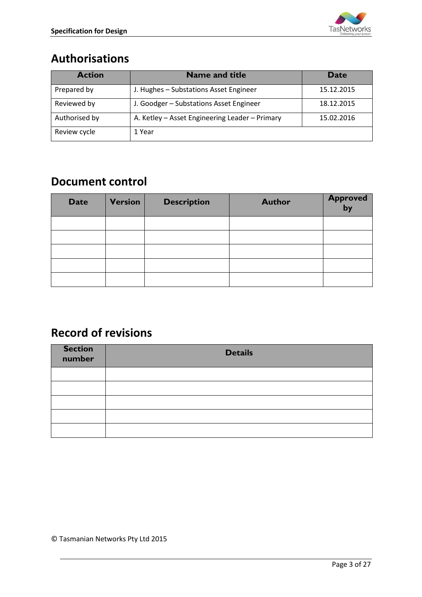

# **Authorisations**

| <b>Action</b> | <b>Name and title</b>                          | <b>Date</b> |
|---------------|------------------------------------------------|-------------|
| Prepared by   | J. Hughes - Substations Asset Engineer         | 15.12.2015  |
| Reviewed by   | J. Goodger - Substations Asset Engineer        | 18.12.2015  |
| Authorised by | A. Ketley - Asset Engineering Leader - Primary | 15.02.2016  |
| Review cycle  | 1 Year                                         |             |

# **Document control**

| <b>Date</b> | <b>Version</b> | <b>Description</b> | <b>Author</b> | Approved<br>by |
|-------------|----------------|--------------------|---------------|----------------|
|             |                |                    |               |                |
|             |                |                    |               |                |
|             |                |                    |               |                |
|             |                |                    |               |                |
|             |                |                    |               |                |

# **Record of revisions**

| Section<br>number | <b>Details</b> |
|-------------------|----------------|
|                   |                |
|                   |                |
|                   |                |
|                   |                |
|                   |                |

© Tasmanian Networks Pty Ltd 2015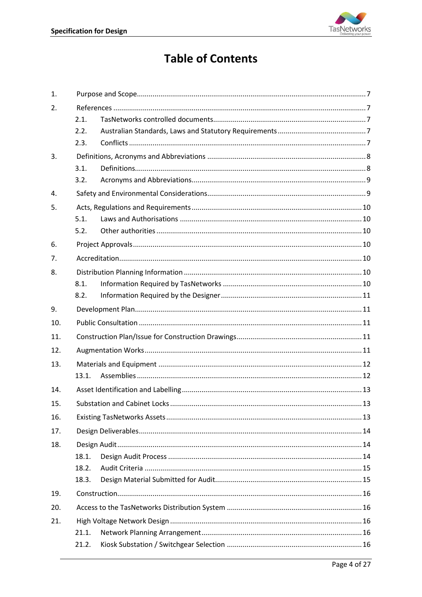

# **Table of Contents**

| 1.  |       |  |  |  |
|-----|-------|--|--|--|
| 2.  |       |  |  |  |
|     | 2.1.  |  |  |  |
|     | 2.2.  |  |  |  |
|     | 2.3.  |  |  |  |
| 3.  |       |  |  |  |
|     | 3.1.  |  |  |  |
|     | 3.2.  |  |  |  |
| 4.  |       |  |  |  |
| 5.  |       |  |  |  |
|     | 5.1.  |  |  |  |
|     | 5.2.  |  |  |  |
| 6.  |       |  |  |  |
| 7.  |       |  |  |  |
| 8.  |       |  |  |  |
|     | 8.1.  |  |  |  |
|     | 8.2.  |  |  |  |
| 9.  |       |  |  |  |
| 10. |       |  |  |  |
| 11. |       |  |  |  |
| 12. |       |  |  |  |
| 13. |       |  |  |  |
|     | 13.1. |  |  |  |
| 14. |       |  |  |  |
| 15. |       |  |  |  |
| 16. |       |  |  |  |
| 17. |       |  |  |  |
| 18. |       |  |  |  |
|     | 18.1. |  |  |  |
|     | 18.2. |  |  |  |
|     | 18.3. |  |  |  |
| 19. |       |  |  |  |
| 20. |       |  |  |  |
| 21. |       |  |  |  |
|     | 21.1. |  |  |  |
|     | 21.2. |  |  |  |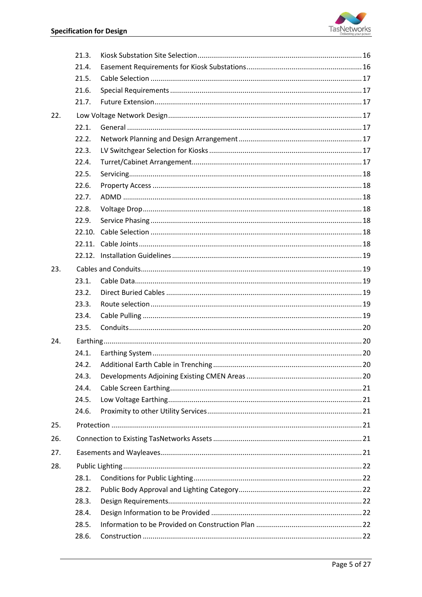

|     | 21.3.  |  |
|-----|--------|--|
|     | 21.4.  |  |
|     | 21.5.  |  |
|     | 21.6.  |  |
|     | 21.7.  |  |
| 22. |        |  |
|     | 22.1.  |  |
|     | 22.2.  |  |
|     | 22.3.  |  |
|     | 22.4.  |  |
|     | 22.5.  |  |
|     | 22.6.  |  |
|     | 22.7.  |  |
|     | 22.8.  |  |
|     | 22.9.  |  |
|     | 22.10. |  |
|     | 22.11. |  |
|     |        |  |
| 23. |        |  |
|     | 23.1.  |  |
|     | 23.2.  |  |
|     | 23.3.  |  |
|     | 23.4.  |  |
|     | 23.5.  |  |
| 24. |        |  |
|     | 24.1.  |  |
|     | 24.2.  |  |
|     | 24.3.  |  |
|     | 24.4.  |  |
|     | 24.5.  |  |
|     | 24.6.  |  |
| 25. |        |  |
| 26. |        |  |
| 27. |        |  |
| 28. |        |  |
|     | 28.1.  |  |
|     | 28.2.  |  |
|     | 28.3.  |  |
|     | 28.4.  |  |
|     | 28.5.  |  |
|     | 28.6.  |  |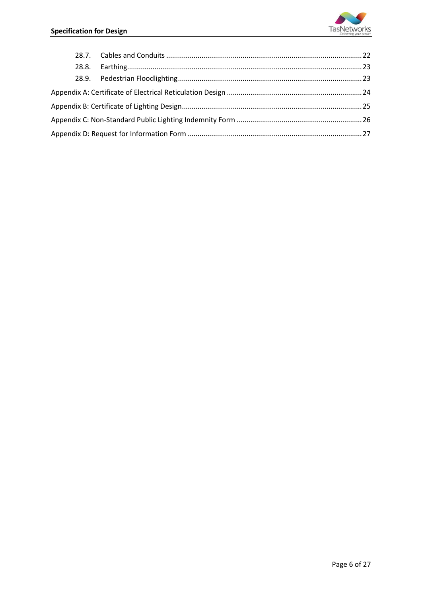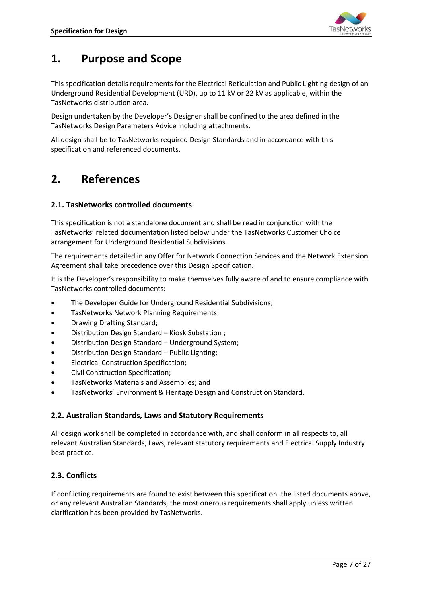

### <span id="page-6-0"></span>**1. Purpose and Scope**

This specification details requirements for the Electrical Reticulation and Public Lighting design of an Underground Residential Development (URD), up to 11 kV or 22 kV as applicable, within the TasNetworks distribution area.

Design undertaken by the Developer's Designer shall be confined to the area defined in the TasNetworks Design Parameters Advice including attachments.

All design shall be to TasNetworks required Design Standards and in accordance with this specification and referenced documents.

### <span id="page-6-1"></span>**2. References**

### <span id="page-6-2"></span>**2.1. TasNetworks controlled documents**

This specification is not a standalone document and shall be read in conjunction with the TasNetworks' related documentation listed below under the TasNetworks Customer Choice arrangement for Underground Residential Subdivisions.

The requirements detailed in any Offer for Network Connection Services and the Network Extension Agreement shall take precedence over this Design Specification.

It is the Developer's responsibility to make themselves fully aware of and to ensure compliance with TasNetworks controlled documents:

- The Developer Guide for Underground Residential Subdivisions;
- TasNetworks Network Planning Requirements;
- Drawing Drafting Standard;
- Distribution Design Standard Kiosk Substation ;
- Distribution Design Standard Underground System;
- Distribution Design Standard Public Lighting;
- Electrical Construction Specification;
- Civil Construction Specification;
- TasNetworks Materials and Assemblies; and
- TasNetworks' Environment & Heritage Design and Construction Standard.

#### <span id="page-6-3"></span>**2.2. Australian Standards, Laws and Statutory Requirements**

All design work shall be completed in accordance with, and shall conform in all respects to, all relevant Australian Standards, Laws, relevant statutory requirements and Electrical Supply Industry best practice.

#### <span id="page-6-4"></span>**2.3. Conflicts**

If conflicting requirements are found to exist between this specification, the listed documents above, or any relevant Australian Standards, the most onerous requirements shall apply unless written clarification has been provided by TasNetworks.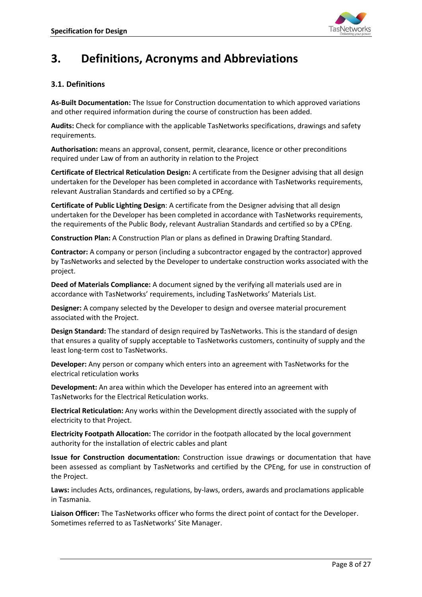

# <span id="page-7-0"></span>**3. Definitions, Acronyms and Abbreviations**

#### <span id="page-7-1"></span>**3.1. Definitions**

**As-Built Documentation:** The Issue for Construction documentation to which approved variations and other required information during the course of construction has been added.

**Audits:** Check for compliance with the applicable TasNetworks specifications, drawings and safety requirements.

**Authorisation:** means an approval, consent, permit, clearance, licence or other preconditions required under Law of from an authority in relation to the Project

**Certificate of Electrical Reticulation Design:** A certificate from the Designer advising that all design undertaken for the Developer has been completed in accordance with TasNetworks requirements, relevant Australian Standards and certified so by a CPEng.

**Certificate of Public Lighting Design**: A certificate from the Designer advising that all design undertaken for the Developer has been completed in accordance with TasNetworks requirements, the requirements of the Public Body, relevant Australian Standards and certified so by a CPEng.

**Construction Plan:** A Construction Plan or plans as defined in Drawing Drafting Standard.

**Contractor:** A company or person (including a subcontractor engaged by the contractor) approved by TasNetworks and selected by the Developer to undertake construction works associated with the project.

**Deed of Materials Compliance:** A document signed by the verifying all materials used are in accordance with TasNetworks' requirements, including TasNetworks' Materials List.

**Designer:** A company selected by the Developer to design and oversee material procurement associated with the Project.

**Design Standard:** The standard of design required by TasNetworks. This is the standard of design that ensures a quality of supply acceptable to TasNetworks customers, continuity of supply and the least long-term cost to TasNetworks.

**Developer:** Any person or company which enters into an agreement with TasNetworks for the electrical reticulation works

**Development:** An area within which the Developer has entered into an agreement with TasNetworks for the Electrical Reticulation works.

**Electrical Reticulation:** Any works within the Development directly associated with the supply of electricity to that Project.

**Electricity Footpath Allocation:** The corridor in the footpath allocated by the local government authority for the installation of electric cables and plant

**Issue for Construction documentation:** Construction issue drawings or documentation that have been assessed as compliant by TasNetworks and certified by the CPEng, for use in construction of the Project.

**Laws:** includes Acts, ordinances, regulations, by-laws, orders, awards and proclamations applicable in Tasmania.

**Liaison Officer:** The TasNetworks officer who forms the direct point of contact for the Developer. Sometimes referred to as TasNetworks' Site Manager.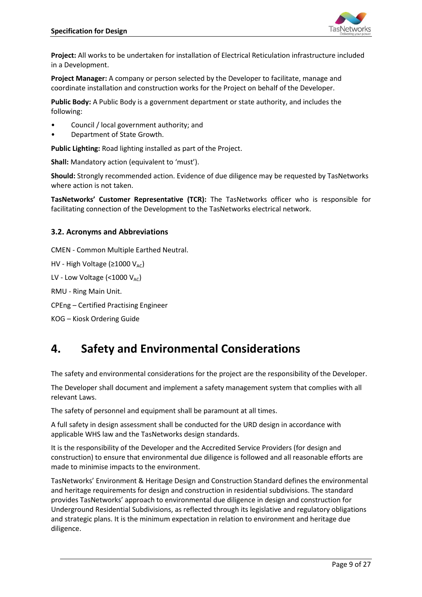

**Project:** All works to be undertaken for installation of Electrical Reticulation infrastructure included in a Development.

**Project Manager:** A company or person selected by the Developer to facilitate, manage and coordinate installation and construction works for the Project on behalf of the Developer.

**Public Body:** A Public Body is a government department or state authority, and includes the following:

- Council / local government authority; and
- Department of State Growth.

**Public Lighting:** Road lighting installed as part of the Project.

**Shall:** Mandatory action (equivalent to 'must').

**Should:** Strongly recommended action. Evidence of due diligence may be requested by TasNetworks where action is not taken.

**TasNetworks' Customer Representative (TCR):** The TasNetworks officer who is responsible for facilitating connection of the Development to the TasNetworks electrical network.

#### <span id="page-8-0"></span>**3.2. Acronyms and Abbreviations**

CMEN - Common Multiple Earthed Neutral.

HV - High Voltage ( $\geq$ 1000 V<sub>AC</sub>)

LV - Low Voltage (<1000  $V_{AC}$ )

RMU - Ring Main Unit.

CPEng – Certified Practising Engineer

<span id="page-8-1"></span>KOG – Kiosk Ordering Guide

### **4. Safety and Environmental Considerations**

The safety and environmental considerations for the project are the responsibility of the Developer.

The Developer shall document and implement a safety management system that complies with all relevant Laws.

The safety of personnel and equipment shall be paramount at all times.

A full safety in design assessment shall be conducted for the URD design in accordance with applicable WHS law and the TasNetworks design standards.

It is the responsibility of the Developer and the Accredited Service Providers (for design and construction) to ensure that environmental due diligence is followed and all reasonable efforts are made to minimise impacts to the environment.

TasNetworks' Environment & Heritage Design and Construction Standard defines the environmental and heritage requirements for design and construction in residential subdivisions. The standard provides TasNetworks' approach to environmental due diligence in design and construction for Underground Residential Subdivisions, as reflected through its legislative and regulatory obligations and strategic plans. It is the minimum expectation in relation to environment and heritage due diligence.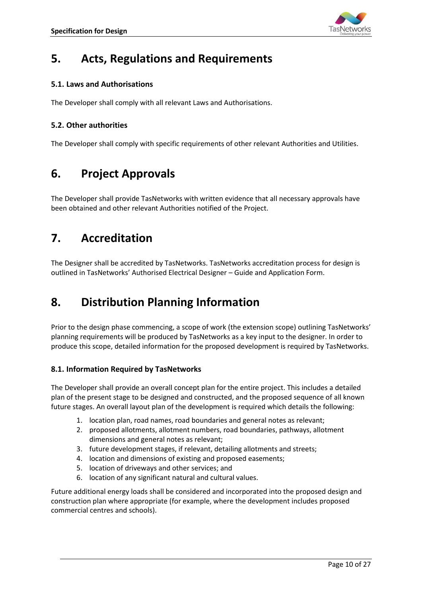

# <span id="page-9-0"></span>**5. Acts, Regulations and Requirements**

#### <span id="page-9-1"></span>**5.1. Laws and Authorisations**

The Developer shall comply with all relevant Laws and Authorisations.

### <span id="page-9-2"></span>**5.2. Other authorities**

<span id="page-9-3"></span>The Developer shall comply with specific requirements of other relevant Authorities and Utilities.

# **6. Project Approvals**

The Developer shall provide TasNetworks with written evidence that all necessary approvals have been obtained and other relevant Authorities notified of the Project.

### <span id="page-9-4"></span>**7. Accreditation**

The Designer shall be accredited by TasNetworks. TasNetworks accreditation process for design is outlined in TasNetworks' Authorised Electrical Designer – Guide and Application Form.

### <span id="page-9-5"></span>**8. Distribution Planning Information**

Prior to the design phase commencing, a scope of work (the extension scope) outlining TasNetworks' planning requirements will be produced by TasNetworks as a key input to the designer. In order to produce this scope, detailed information for the proposed development is required by TasNetworks.

#### <span id="page-9-6"></span>**8.1. Information Required by TasNetworks**

The Developer shall provide an overall concept plan for the entire project. This includes a detailed plan of the present stage to be designed and constructed, and the proposed sequence of all known future stages. An overall layout plan of the development is required which details the following:

- 1. location plan, road names, road boundaries and general notes as relevant;
- 2. proposed allotments, allotment numbers, road boundaries, pathways, allotment dimensions and general notes as relevant;
- 3. future development stages, if relevant, detailing allotments and streets;
- 4. location and dimensions of existing and proposed easements;
- 5. location of driveways and other services; and
- 6. location of any significant natural and cultural values.

Future additional energy loads shall be considered and incorporated into the proposed design and construction plan where appropriate (for example, where the development includes proposed commercial centres and schools).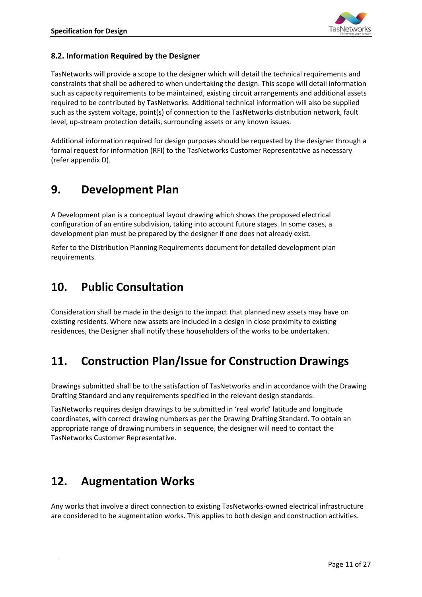

#### <span id="page-10-0"></span>**8.2. Information Required by the Designer**

TasNetworks will provide a scope to the designer which will detail the technical requirements and constraints that shall be adhered to when undertaking the design. This scope will detail information such as capacity requirements to be maintained, existing circuit arrangements and additional assets required to be contributed by TasNetworks. Additional technical information will also be supplied such as the system voltage, point(s) of connection to the TasNetworks distribution network, fault level, up-stream protection details, surrounding assets or any known issues.

Additional information required for design purposes should be requested by the designer through a formal request for information (RFI) to the TasNetworks Customer Representative as necessary (refer appendix D).

### <span id="page-10-1"></span>**9. Development Plan**

A Development plan is a conceptual layout drawing which shows the proposed electrical configuration of an entire subdivision, taking into account future stages. In some cases, a development plan must be prepared by the designer if one does not already exist.

Refer to the Distribution Planning Requirements document for detailed development plan requirements.

### <span id="page-10-2"></span>**10. Public Consultation**

Consideration shall be made in the design to the impact that planned new assets may have on existing residents. Where new assets are included in a design in close proximity to existing residences, the Designer shall notify these householders of the works to be undertaken.

### <span id="page-10-3"></span>**11. Construction Plan/Issue for Construction Drawings**

Drawings submitted shall be to the satisfaction of TasNetworks and in accordance with the Drawing Drafting Standard and any requirements specified in the relevant design standards.

TasNetworks requires design drawings to be submitted in 'real world' latitude and longitude coordinates, with correct drawing numbers as per the Drawing Drafting Standard. To obtain an appropriate range of drawing numbers in sequence, the designer will need to contact the TasNetworks Customer Representative.

# <span id="page-10-4"></span>**12. Augmentation Works**

Any works that involve a direct connection to existing TasNetworks-owned electrical infrastructure are considered to be augmentation works. This applies to both design and construction activities.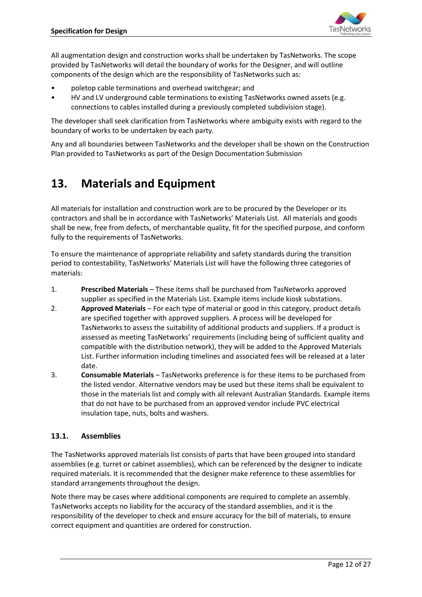

All augmentation design and construction works shall be undertaken by TasNetworks. The scope provided by TasNetworks will detail the boundary of works for the Designer, and will outline components of the design which are the responsibility of TasNetworks such as:

- poletop cable terminations and overhead switchgear; and
- HV and LV underground cable terminations to existing TasNetworks owned assets (e.g. connections to cables installed during a previously completed subdivision stage).

The developer shall seek clarification from TasNetworks where ambiguity exists with regard to the boundary of works to be undertaken by each party.

Any and all boundaries between TasNetworks and the developer shall be shown on the Construction Plan provided to TasNetworks as part of the Design Documentation Submission

### <span id="page-11-0"></span>**13. Materials and Equipment**

All materials for installation and construction work are to be procured by the Developer or its contractors and shall be in accordance with TasNetworks' Materials List. All materials and goods shall be new, free from defects, of merchantable quality, fit for the specified purpose, and conform fully to the requirements of TasNetworks.

To ensure the maintenance of appropriate reliability and safety standards during the transition period to contestability, TasNetworks' Materials List will have the following three categories of materials:

- 1. **Prescribed Materials** These items shall be purchased from TasNetworks approved supplier as specified in the Materials List. Example items include kiosk substations.
- 2. **Approved Materials** For each type of material or good in this category, product details are specified together with approved suppliers. A process will be developed for TasNetworks to assess the suitability of additional products and suppliers. If a product is assessed as meeting TasNetworks' requirements (including being of sufficient quality and compatible with the distribution network), they will be added to the Approved Materials List. Further information including timelines and associated fees will be released at a later date.
- 3. **Consumable Materials** TasNetworks preference is for these items to be purchased from the listed vendor. Alternative vendors may be used but these items shall be equivalent to those in the materials list and comply with all relevant Australian Standards. Example items that do not have to be purchased from an approved vendor include PVC electrical insulation tape, nuts, bolts and washers.

### <span id="page-11-1"></span>**13.1. Assemblies**

The TasNetworks approved materials list consists of parts that have been grouped into standard assemblies (e.g. turret or cabinet assemblies), which can be referenced by the designer to indicate required materials. It is recommended that the designer make reference to these assemblies for standard arrangements throughout the design.

Note there may be cases where additional components are required to complete an assembly. TasNetworks accepts no liability for the accuracy of the standard assemblies, and it is the responsibility of the developer to check and ensure accuracy for the bill of materials, to ensure correct equipment and quantities are ordered for construction.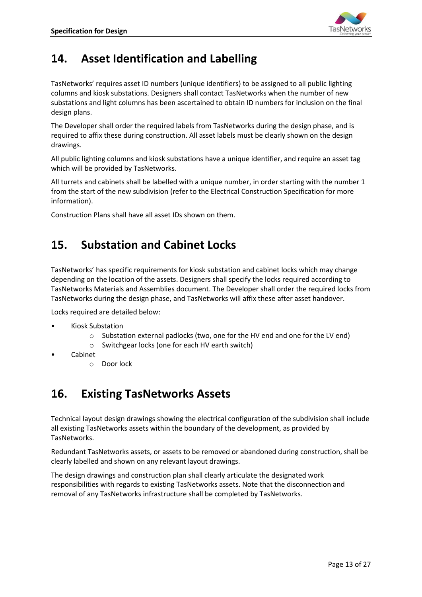

### <span id="page-12-0"></span>**14. Asset Identification and Labelling**

TasNetworks' requires asset ID numbers (unique identifiers) to be assigned to all public lighting columns and kiosk substations. Designers shall contact TasNetworks when the number of new substations and light columns has been ascertained to obtain ID numbers for inclusion on the final design plans.

The Developer shall order the required labels from TasNetworks during the design phase, and is required to affix these during construction. All asset labels must be clearly shown on the design drawings.

All public lighting columns and kiosk substations have a unique identifier, and require an asset tag which will be provided by TasNetworks.

All turrets and cabinets shall be labelled with a unique number, in order starting with the number 1 from the start of the new subdivision (refer to the Electrical Construction Specification for more information).

<span id="page-12-1"></span>Construction Plans shall have all asset IDs shown on them.

# **15. Substation and Cabinet Locks**

TasNetworks' has specific requirements for kiosk substation and cabinet locks which may change depending on the location of the assets. Designers shall specify the locks required according to TasNetworks Materials and Assemblies document. The Developer shall order the required locks from TasNetworks during the design phase, and TasNetworks will affix these after asset handover.

Locks required are detailed below:

- Kiosk Substation
	- o Substation external padlocks (two, one for the HV end and one for the LV end)
	- o Switchgear locks (one for each HV earth switch)
- Cabinet
	- o Door lock

# <span id="page-12-2"></span>**16. Existing TasNetworks Assets**

Technical layout design drawings showing the electrical configuration of the subdivision shall include all existing TasNetworks assets within the boundary of the development, as provided by TasNetworks.

Redundant TasNetworks assets, or assets to be removed or abandoned during construction, shall be clearly labelled and shown on any relevant layout drawings.

The design drawings and construction plan shall clearly articulate the designated work responsibilities with regards to existing TasNetworks assets. Note that the disconnection and removal of any TasNetworks infrastructure shall be completed by TasNetworks.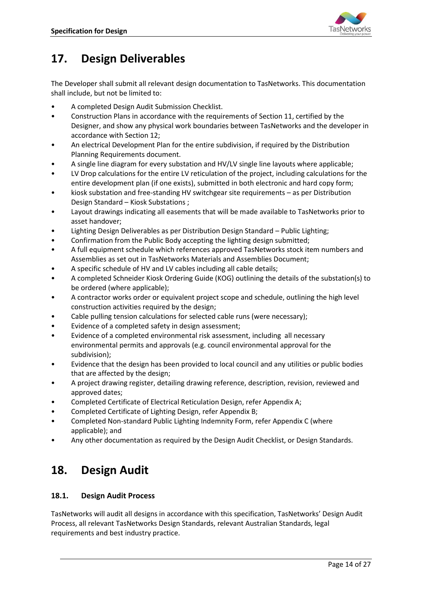

# <span id="page-13-0"></span>**17. Design Deliverables**

The Developer shall submit all relevant design documentation to TasNetworks. This documentation shall include, but not be limited to:

- A completed Design Audit Submission Checklist.
- Construction Plans in accordance with the requirements of Section [11,](#page-10-3) certified by the Designer, and show any physical work boundaries between TasNetworks and the developer in accordance with Section [12;](#page-10-4)
- An electrical Development Plan for the entire subdivision, if required by the Distribution Planning Requirements document.
- A single line diagram for every substation and HV/LV single line layouts where applicable;
- LV Drop calculations for the entire LV reticulation of the project, including calculations for the entire development plan (if one exists), submitted in both electronic and hard copy form;
- kiosk substation and free-standing HV switchgear site requirements as per Distribution Design Standard – Kiosk Substations ;
- Layout drawings indicating all easements that will be made available to TasNetworks prior to asset handover;
- Lighting Design Deliverables as per Distribution Design Standard Public Lighting;
- Confirmation from the Public Body accepting the lighting design submitted;
- A full equipment schedule which references approved TasNetworks stock item numbers and Assemblies as set out in TasNetworks Materials and Assemblies Document;
- A specific schedule of HV and LV cables including all cable details;
- A completed Schneider Kiosk Ordering Guide (KOG) outlining the details of the substation(s) to be ordered (where applicable);
- A contractor works order or equivalent project scope and schedule, outlining the high level construction activities required by the design;
- Cable pulling tension calculations for selected cable runs (were necessary);
- Evidence of a completed safety in design assessment;
- Evidence of a completed environmental risk assessment, including all necessary environmental permits and approvals (e.g. council environmental approval for the subdivision);
- Evidence that the design has been provided to local council and any utilities or public bodies that are affected by the design;
- A project drawing register, detailing drawing reference, description, revision, reviewed and approved dates;
- Completed Certificate of Electrical Reticulation Design, refer Appendix A;
- Completed Certificate of Lighting Design, refer Appendix B;
- Completed Non-standard Public Lighting Indemnity Form, refer Appendix C (where applicable); and
- <span id="page-13-1"></span>• Any other documentation as required by the Design Audit Checklist, or Design Standards.

### **18. Design Audit**

### <span id="page-13-2"></span>**18.1. Design Audit Process**

TasNetworks will audit all designs in accordance with this specification, TasNetworks' Design Audit Process, all relevant TasNetworks Design Standards, relevant Australian Standards, legal requirements and best industry practice.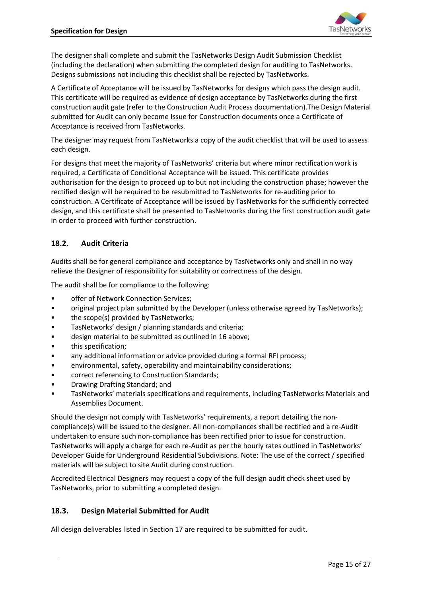

The designer shall complete and submit the TasNetworks Design Audit Submission Checklist (including the declaration) when submitting the completed design for auditing to TasNetworks. Designs submissions not including this checklist shall be rejected by TasNetworks.

A Certificate of Acceptance will be issued by TasNetworks for designs which pass the design audit. This certificate will be required as evidence of design acceptance by TasNetworks during the first construction audit gate (refer to the Construction Audit Process documentation).The Design Material submitted for Audit can only become Issue for Construction documents once a Certificate of Acceptance is received from TasNetworks.

The designer may request from TasNetworks a copy of the audit checklist that will be used to assess each design.

For designs that meet the majority of TasNetworks' criteria but where minor rectification work is required, a Certificate of Conditional Acceptance will be issued. This certificate provides authorisation for the design to proceed up to but not including the construction phase; however the rectified design will be required to be resubmitted to TasNetworks for re-auditing prior to construction. A Certificate of Acceptance will be issued by TasNetworks for the sufficiently corrected design, and this certificate shall be presented to TasNetworks during the first construction audit gate in order to proceed with further construction.

### <span id="page-14-0"></span>**18.2. Audit Criteria**

Audits shall be for general compliance and acceptance by TasNetworks only and shall in no way relieve the Designer of responsibility for suitability or correctness of the design.

The audit shall be for compliance to the following:

- offer of Network Connection Services;
- original project plan submitted by the Developer (unless otherwise agreed by TasNetworks);
- the scope(s) provided by TasNetworks;
- TasNetworks' design / planning standards and criteria;
- design material to be submitted as outlined i[n 16](#page-12-2) [above;](#page-12-2)
- this specification;
- any additional information or advice provided during a formal RFI process;
- environmental, safety, operability and maintainability considerations;
- correct referencing to Construction Standards;
- Drawing Drafting Standard; and
- TasNetworks' materials specifications and requirements, including TasNetworks Materials and Assemblies Document.

Should the design not comply with TasNetworks' requirements, a report detailing the noncompliance(s) will be issued to the designer. All non-compliances shall be rectified and a re-Audit undertaken to ensure such non-compliance has been rectified prior to issue for construction. TasNetworks will apply a charge for each re-Audit as per the hourly rates outlined in TasNetworks' Developer Guide for Underground Residential Subdivisions. Note: The use of the correct / specified materials will be subject to site Audit during construction.

Accredited Electrical Designers may request a copy of the full design audit check sheet used by TasNetworks, prior to submitting a completed design.

#### <span id="page-14-1"></span>**18.3. Design Material Submitted for Audit**

All design deliverables listed in Section [17](#page-13-0) are required to be submitted for audit.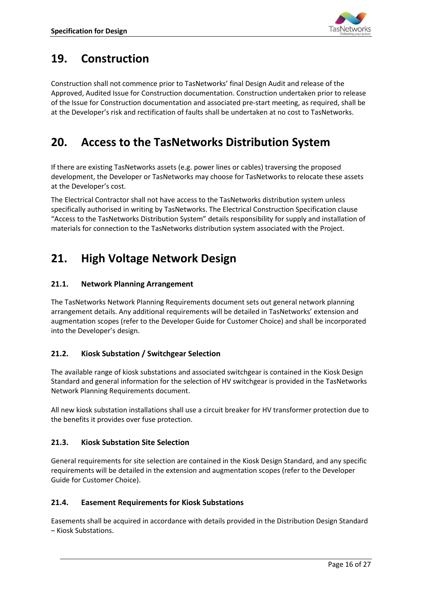

### <span id="page-15-0"></span>**19. Construction**

Construction shall not commence prior to TasNetworks' final Design Audit and release of the Approved, Audited Issue for Construction documentation. Construction undertaken prior to release of the Issue for Construction documentation and associated pre-start meeting, as required, shall be at the Developer's risk and rectification of faults shall be undertaken at no cost to TasNetworks.

### <span id="page-15-1"></span>**20. Access to the TasNetworks Distribution System**

If there are existing TasNetworks assets (e.g. power lines or cables) traversing the proposed development, the Developer or TasNetworks may choose for TasNetworks to relocate these assets at the Developer's cost.

The Electrical Contractor shall not have access to the TasNetworks distribution system unless specifically authorised in writing by TasNetworks. The Electrical Construction Specification clause "Access to the TasNetworks Distribution System" details responsibility for supply and installation of materials for connection to the TasNetworks distribution system associated with the Project.

# <span id="page-15-2"></span>**21. High Voltage Network Design**

### <span id="page-15-3"></span>**21.1. Network Planning Arrangement**

The TasNetworks Network Planning Requirements document sets out general network planning arrangement details. Any additional requirements will be detailed in TasNetworks' extension and augmentation scopes (refer to the Developer Guide for Customer Choice) and shall be incorporated into the Developer's design.

### <span id="page-15-4"></span>**21.2. Kiosk Substation / Switchgear Selection**

The available range of kiosk substations and associated switchgear is contained in the Kiosk Design Standard and general information for the selection of HV switchgear is provided in the TasNetworks Network Planning Requirements document.

All new kiosk substation installations shall use a circuit breaker for HV transformer protection due to the benefits it provides over fuse protection.

### <span id="page-15-5"></span>**21.3. Kiosk Substation Site Selection**

General requirements for site selection are contained in the Kiosk Design Standard, and any specific requirements will be detailed in the extension and augmentation scopes (refer to the Developer Guide for Customer Choice).

### <span id="page-15-6"></span>**21.4. Easement Requirements for Kiosk Substations**

Easements shall be acquired in accordance with details provided in the Distribution Design Standard – Kiosk Substations.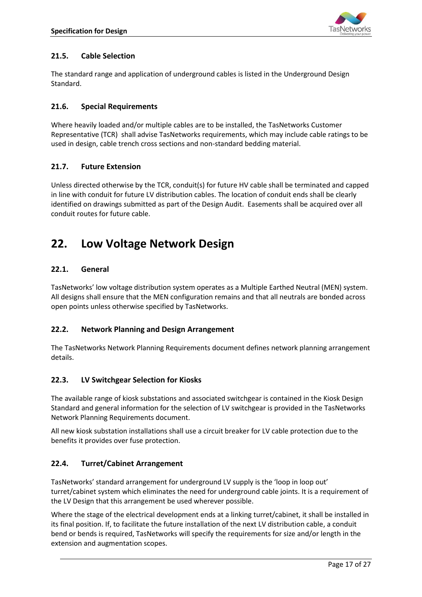

### <span id="page-16-0"></span>**21.5. Cable Selection**

The standard range and application of underground cables is listed in the Underground Design Standard.

#### <span id="page-16-1"></span>**21.6. Special Requirements**

Where heavily loaded and/or multiple cables are to be installed, the TasNetworks Customer Representative (TCR) shall advise TasNetworks requirements, which may include cable ratings to be used in design, cable trench cross sections and non-standard bedding material.

### <span id="page-16-2"></span>**21.7. Future Extension**

Unless directed otherwise by the TCR, conduit(s) for future HV cable shall be terminated and capped in line with conduit for future LV distribution cables. The location of conduit ends shall be clearly identified on drawings submitted as part of the Design Audit. Easements shall be acquired over all conduit routes for future cable.

### <span id="page-16-3"></span>**22. Low Voltage Network Design**

### <span id="page-16-4"></span>**22.1. General**

TasNetworks' low voltage distribution system operates as a Multiple Earthed Neutral (MEN) system. All designs shall ensure that the MEN configuration remains and that all neutrals are bonded across open points unless otherwise specified by TasNetworks.

#### <span id="page-16-5"></span>**22.2. Network Planning and Design Arrangement**

The TasNetworks Network Planning Requirements document defines network planning arrangement details.

#### <span id="page-16-6"></span>**22.3. LV Switchgear Selection for Kiosks**

The available range of kiosk substations and associated switchgear is contained in the Kiosk Design Standard and general information for the selection of LV switchgear is provided in the TasNetworks Network Planning Requirements document.

All new kiosk substation installations shall use a circuit breaker for LV cable protection due to the benefits it provides over fuse protection.

#### <span id="page-16-7"></span>**22.4. Turret/Cabinet Arrangement**

TasNetworks' standard arrangement for underground LV supply is the 'loop in loop out' turret/cabinet system which eliminates the need for underground cable joints. It is a requirement of the LV Design that this arrangement be used wherever possible.

Where the stage of the electrical development ends at a linking turret/cabinet, it shall be installed in its final position. If, to facilitate the future installation of the next LV distribution cable, a conduit bend or bends is required, TasNetworks will specify the requirements for size and/or length in the extension and augmentation scopes.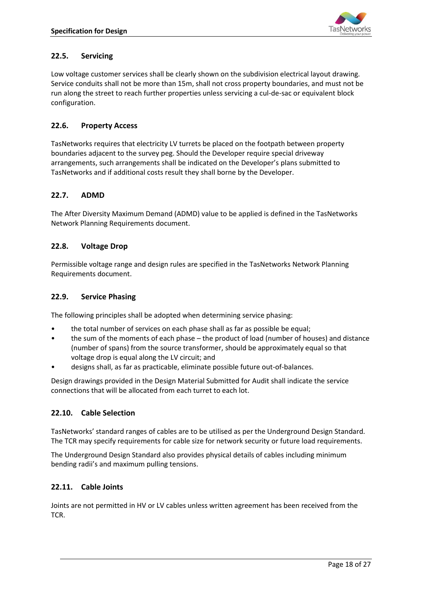

#### <span id="page-17-0"></span>**22.5. Servicing**

Low voltage customer services shall be clearly shown on the subdivision electrical layout drawing. Service conduits shall not be more than 15m, shall not cross property boundaries, and must not be run along the street to reach further properties unless servicing a cul-de-sac or equivalent block configuration.

### <span id="page-17-1"></span>**22.6. Property Access**

TasNetworks requires that electricity LV turrets be placed on the footpath between property boundaries adjacent to the survey peg. Should the Developer require special driveway arrangements, such arrangements shall be indicated on the Developer's plans submitted to TasNetworks and if additional costs result they shall borne by the Developer.

#### <span id="page-17-2"></span>**22.7. ADMD**

The After Diversity Maximum Demand (ADMD) value to be applied is defined in the TasNetworks Network Planning Requirements document.

#### <span id="page-17-3"></span>**22.8. Voltage Drop**

Permissible voltage range and design rules are specified in the TasNetworks Network Planning Requirements document.

#### <span id="page-17-4"></span>**22.9. Service Phasing**

The following principles shall be adopted when determining service phasing:

- the total number of services on each phase shall as far as possible be equal;
- the sum of the moments of each phase the product of load (number of houses) and distance (number of spans) from the source transformer, should be approximately equal so that voltage drop is equal along the LV circuit; and
- designs shall, as far as practicable, eliminate possible future out-of-balances.

Design drawings provided in the Design Material Submitted for Audit shall indicate the service connections that will be allocated from each turret to each lot.

#### <span id="page-17-5"></span>**22.10. Cable Selection**

TasNetworks' standard ranges of cables are to be utilised as per the Underground Design Standard. The TCR may specify requirements for cable size for network security or future load requirements.

The Underground Design Standard also provides physical details of cables including minimum bending radii's and maximum pulling tensions.

#### <span id="page-17-6"></span>**22.11. Cable Joints**

Joints are not permitted in HV or LV cables unless written agreement has been received from the TCR.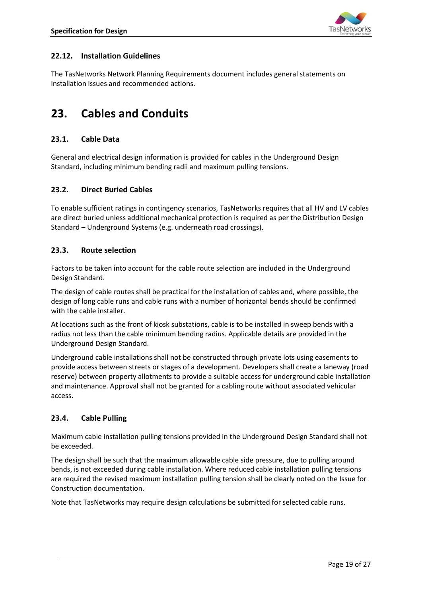

#### <span id="page-18-0"></span>**22.12. Installation Guidelines**

<span id="page-18-1"></span>The TasNetworks Network Planning Requirements document includes general statements on installation issues and recommended actions.

### **23. Cables and Conduits**

#### <span id="page-18-2"></span>**23.1. Cable Data**

General and electrical design information is provided for cables in the Underground Design Standard, including minimum bending radii and maximum pulling tensions.

#### <span id="page-18-3"></span>**23.2. Direct Buried Cables**

To enable sufficient ratings in contingency scenarios, TasNetworks requires that all HV and LV cables are direct buried unless additional mechanical protection is required as per the Distribution Design Standard – Underground Systems (e.g. underneath road crossings).

#### <span id="page-18-4"></span>**23.3. Route selection**

Factors to be taken into account for the cable route selection are included in the Underground Design Standard.

The design of cable routes shall be practical for the installation of cables and, where possible, the design of long cable runs and cable runs with a number of horizontal bends should be confirmed with the cable installer.

At locations such as the front of kiosk substations, cable is to be installed in sweep bends with a radius not less than the cable minimum bending radius. Applicable details are provided in the Underground Design Standard.

Underground cable installations shall not be constructed through private lots using easements to provide access between streets or stages of a development. Developers shall create a laneway (road reserve) between property allotments to provide a suitable access for underground cable installation and maintenance. Approval shall not be granted for a cabling route without associated vehicular access.

#### <span id="page-18-5"></span>**23.4. Cable Pulling**

Maximum cable installation pulling tensions provided in the Underground Design Standard shall not be exceeded.

The design shall be such that the maximum allowable cable side pressure, due to pulling around bends, is not exceeded during cable installation. Where reduced cable installation pulling tensions are required the revised maximum installation pulling tension shall be clearly noted on the Issue for Construction documentation.

Note that TasNetworks may require design calculations be submitted for selected cable runs.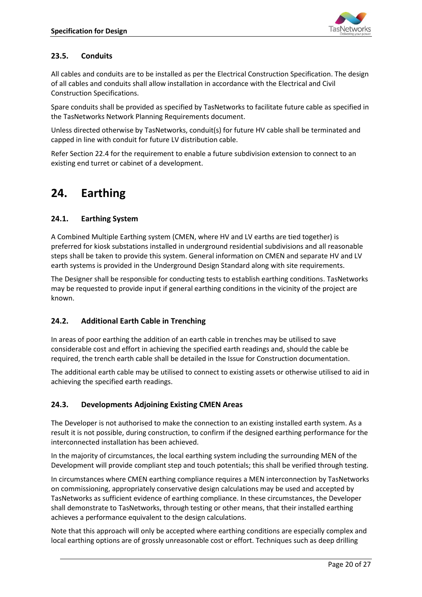

### <span id="page-19-0"></span>**23.5. Conduits**

All cables and conduits are to be installed as per the Electrical Construction Specification. The design of all cables and conduits shall allow installation in accordance with the Electrical and Civil Construction Specifications.

Spare conduits shall be provided as specified by TasNetworks to facilitate future cable as specified in the TasNetworks Network Planning Requirements document.

Unless directed otherwise by TasNetworks, conduit(s) for future HV cable shall be terminated and capped in line with conduit for future LV distribution cable.

Refer Section [22.4](#page-16-7) for the requirement to enable a future subdivision extension to connect to an existing end turret or cabinet of a development.

### <span id="page-19-1"></span>**24. Earthing**

### <span id="page-19-2"></span>**24.1. Earthing System**

A Combined Multiple Earthing system (CMEN, where HV and LV earths are tied together) is preferred for kiosk substations installed in underground residential subdivisions and all reasonable steps shall be taken to provide this system. General information on CMEN and separate HV and LV earth systems is provided in the Underground Design Standard along with site requirements.

The Designer shall be responsible for conducting tests to establish earthing conditions. TasNetworks may be requested to provide input if general earthing conditions in the vicinity of the project are known.

#### <span id="page-19-3"></span>**24.2. Additional Earth Cable in Trenching**

In areas of poor earthing the addition of an earth cable in trenches may be utilised to save considerable cost and effort in achieving the specified earth readings and, should the cable be required, the trench earth cable shall be detailed in the Issue for Construction documentation.

The additional earth cable may be utilised to connect to existing assets or otherwise utilised to aid in achieving the specified earth readings.

### <span id="page-19-4"></span>**24.3. Developments Adjoining Existing CMEN Areas**

The Developer is not authorised to make the connection to an existing installed earth system. As a result it is not possible, during construction, to confirm if the designed earthing performance for the interconnected installation has been achieved.

In the majority of circumstances, the local earthing system including the surrounding MEN of the Development will provide compliant step and touch potentials; this shall be verified through testing.

In circumstances where CMEN earthing compliance requires a MEN interconnection by TasNetworks on commissioning, appropriately conservative design calculations may be used and accepted by TasNetworks as sufficient evidence of earthing compliance. In these circumstances, the Developer shall demonstrate to TasNetworks, through testing or other means, that their installed earthing achieves a performance equivalent to the design calculations.

Note that this approach will only be accepted where earthing conditions are especially complex and local earthing options are of grossly unreasonable cost or effort. Techniques such as deep drilling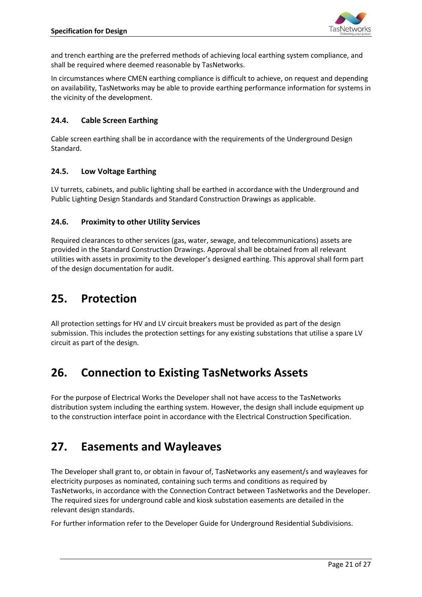

and trench earthing are the preferred methods of achieving local earthing system compliance, and shall be required where deemed reasonable by TasNetworks.

In circumstances where CMEN earthing compliance is difficult to achieve, on request and depending on availability, TasNetworks may be able to provide earthing performance information for systems in the vicinity of the development.

#### <span id="page-20-0"></span>**24.4. Cable Screen Earthing**

Cable screen earthing shall be in accordance with the requirements of the Underground Design Standard.

#### <span id="page-20-1"></span>**24.5. Low Voltage Earthing**

LV turrets, cabinets, and public lighting shall be earthed in accordance with the Underground and Public Lighting Design Standards and Standard Construction Drawings as applicable.

#### <span id="page-20-2"></span>**24.6. Proximity to other Utility Services**

Required clearances to other services (gas, water, sewage, and telecommunications) assets are provided in the Standard Construction Drawings. Approval shall be obtained from all relevant utilities with assets in proximity to the developer's designed earthing. This approval shall form part of the design documentation for audit.

### <span id="page-20-3"></span>**25. Protection**

All protection settings for HV and LV circuit breakers must be provided as part of the design submission. This includes the protection settings for any existing substations that utilise a spare LV circuit as part of the design.

### <span id="page-20-4"></span>**26. Connection to Existing TasNetworks Assets**

For the purpose of Electrical Works the Developer shall not have access to the TasNetworks distribution system including the earthing system. However, the design shall include equipment up to the construction interface point in accordance with the Electrical Construction Specification.

### <span id="page-20-5"></span>**27. Easements and Wayleaves**

The Developer shall grant to, or obtain in favour of, TasNetworks any easement/s and wayleaves for electricity purposes as nominated, containing such terms and conditions as required by TasNetworks, in accordance with the Connection Contract between TasNetworks and the Developer. The required sizes for underground cable and kiosk substation easements are detailed in the relevant design standards.

For further information refer to the Developer Guide for Underground Residential Subdivisions.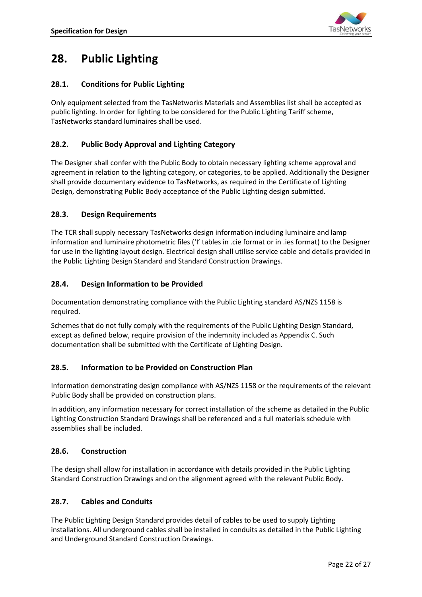

### <span id="page-21-0"></span>**28. Public Lighting**

#### <span id="page-21-1"></span>**28.1. Conditions for Public Lighting**

Only equipment selected from the TasNetworks Materials and Assemblies list shall be accepted as public lighting. In order for lighting to be considered for the Public Lighting Tariff scheme, TasNetworks standard luminaires shall be used.

### <span id="page-21-2"></span>**28.2. Public Body Approval and Lighting Category**

The Designer shall confer with the Public Body to obtain necessary lighting scheme approval and agreement in relation to the lighting category, or categories, to be applied. Additionally the Designer shall provide documentary evidence to TasNetworks, as required in the Certificate of Lighting Design, demonstrating Public Body acceptance of the Public Lighting design submitted.

#### <span id="page-21-3"></span>**28.3. Design Requirements**

The TCR shall supply necessary TasNetworks design information including luminaire and lamp information and luminaire photometric files ('I' tables in .cie format or in .ies format) to the Designer for use in the lighting layout design. Electrical design shall utilise service cable and details provided in the Public Lighting Design Standard and Standard Construction Drawings.

#### <span id="page-21-4"></span>**28.4. Design Information to be Provided**

Documentation demonstrating compliance with the Public Lighting standard AS/NZS 1158 is required.

Schemes that do not fully comply with the requirements of the Public Lighting Design Standard, except as defined below, require provision of the indemnity included as Appendix C. Such documentation shall be submitted with the Certificate of Lighting Design.

#### <span id="page-21-5"></span>**28.5. Information to be Provided on Construction Plan**

Information demonstrating design compliance with AS/NZS 1158 or the requirements of the relevant Public Body shall be provided on construction plans.

In addition, any information necessary for correct installation of the scheme as detailed in the Public Lighting Construction Standard Drawings shall be referenced and a full materials schedule with assemblies shall be included.

#### <span id="page-21-6"></span>**28.6. Construction**

The design shall allow for installation in accordance with details provided in the Public Lighting Standard Construction Drawings and on the alignment agreed with the relevant Public Body.

#### <span id="page-21-7"></span>**28.7. Cables and Conduits**

The Public Lighting Design Standard provides detail of cables to be used to supply Lighting installations. All underground cables shall be installed in conduits as detailed in the Public Lighting and Underground Standard Construction Drawings.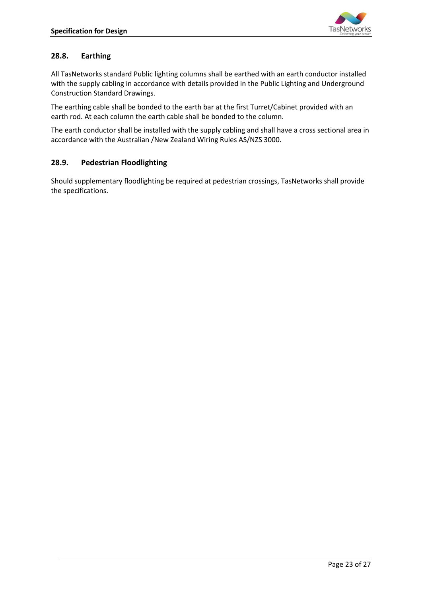

#### <span id="page-22-0"></span>**28.8. Earthing**

All TasNetworks standard Public lighting columns shall be earthed with an earth conductor installed with the supply cabling in accordance with details provided in the Public Lighting and Underground Construction Standard Drawings.

The earthing cable shall be bonded to the earth bar at the first Turret/Cabinet provided with an earth rod. At each column the earth cable shall be bonded to the column.

The earth conductor shall be installed with the supply cabling and shall have a cross sectional area in accordance with the Australian /New Zealand Wiring Rules AS/NZS 3000.

### <span id="page-22-1"></span>**28.9. Pedestrian Floodlighting**

Should supplementary floodlighting be required at pedestrian crossings, TasNetworks shall provide the specifications.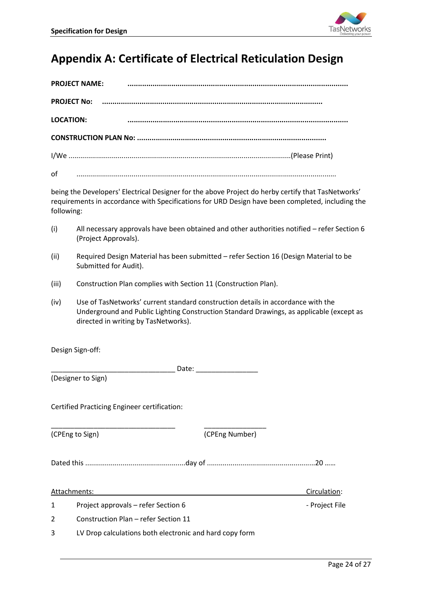

# <span id="page-23-0"></span>**Appendix A: Certificate of Electrical Reticulation Design**

|                    | <b>PROJECT NAME:</b>                                                                                                                                                                                                 |  |  |
|--------------------|----------------------------------------------------------------------------------------------------------------------------------------------------------------------------------------------------------------------|--|--|
| <b>PROJECT No:</b> |                                                                                                                                                                                                                      |  |  |
| <b>LOCATION:</b>   |                                                                                                                                                                                                                      |  |  |
|                    |                                                                                                                                                                                                                      |  |  |
|                    |                                                                                                                                                                                                                      |  |  |
| οf                 |                                                                                                                                                                                                                      |  |  |
| following:         | being the Developers' Electrical Designer for the above Project do herby certify that TasNetworks'<br>requirements in accordance with Specifications for URD Design have been completed, including the               |  |  |
| (i)                | All necessary approvals have been obtained and other authorities notified - refer Section 6<br>(Project Approvals).                                                                                                  |  |  |
| (ii)               | Required Design Material has been submitted - refer Section 16 (Design Material to be<br>Submitted for Audit).                                                                                                       |  |  |
| (iii)              | Construction Plan complies with Section 11 (Construction Plan).                                                                                                                                                      |  |  |
| (iv)               | Use of TasNetworks' current standard construction details in accordance with the<br>Underground and Public Lighting Construction Standard Drawings, as applicable (except as<br>directed in writing by TasNetworks). |  |  |
|                    | Design Sign-off:                                                                                                                                                                                                     |  |  |
|                    | (Designer to Sign)                                                                                                                                                                                                   |  |  |
|                    | Certified Practicing Engineer certification:                                                                                                                                                                         |  |  |
|                    | (CPEng to Sign)<br>(CPEng Number)                                                                                                                                                                                    |  |  |
|                    |                                                                                                                                                                                                                      |  |  |

| Attachments: | Circulation: |
|--------------|--------------|
|              |              |

1 Project approvals – refer Section [6](#page-9-3) - Project File

2 Construction Plan – refer Sectio[n 11](#page-10-3)

3 LV Drop calculations both electronic and hard copy form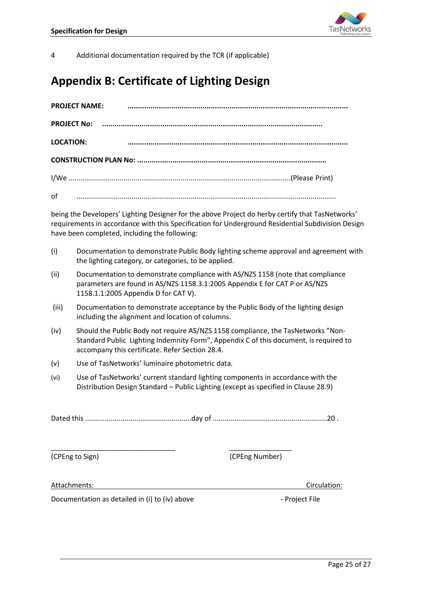

4 Additional documentation required by the TCR (if applicable)

# <span id="page-24-0"></span>**Appendix B: Certificate of Lighting Design**

| <b>PROJECT NAME:</b> |  |
|----------------------|--|
|                      |  |
| LOCATION:            |  |
|                      |  |
|                      |  |
| of                   |  |

being the Developers' Lighting Designer for the above Project do herby certify that TasNetworks' requirements in accordance with this Specification for Underground Residential Subdivision Design have been completed, including the following:

- (i) Documentation to demonstrate Public Body lighting scheme approval and agreement with the lighting category, or categories, to be applied.
- (ii) Documentation to demonstrate compliance with AS/NZS 1158 (note that compliance parameters are found in AS/NZS 1158.3.1:2005 Appendix E for CAT P or AS/NZS 1158.1.1:2005 Appendix D for CAT V).
- (iii) Documentation to demonstrate acceptance by the Public Body of the lighting design including the alignment and location of columns.
- (iv) Should the Public Body not require AS/NZS 1158 compliance, the TasNetworks "Non-Standard Public Lighting Indemnity Form", Appendix C of this document, is required to accompany this certificate. Refer Section [28.4.](#page-21-4)
- (v) Use of TasNetworks' luminaire photometric data.
- (vi) Use of TasNetworks' current standard lighting components in accordance with the Distribution Design Standard – Public Lighting (except as specified in Clause [28.9\)](#page-22-1)

Dated this ......................................................day of ..........................................................20 .

\_\_\_\_\_\_\_\_\_\_\_\_\_\_\_\_\_\_\_\_\_\_\_\_\_\_\_\_\_\_\_\_ \_\_\_\_\_\_\_\_\_\_\_\_\_\_\_\_

(CPEng to Sign) (CPEng Number)

Attachments: Circulation: Circulation: Circulation: Circulation: Circulation: Circulation: Circulation: Circulation: Circulation: Circulation: Circulation: Circulation: Circulation: Circulation: Circulation: Circulation: C

Documentation as detailed in (i) to (iv) above example the set of the Project File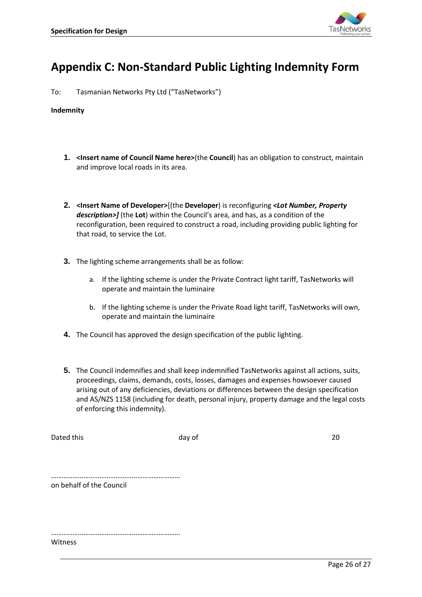

### <span id="page-25-0"></span>**Appendix C: Non-Standard Public Lighting Indemnity Form**

To: Tasmanian Networks Pty Ltd ("TasNetworks")

#### **Indemnity**

- **1. <Insert name of Council Name here>**(the **Council**) has an obligation to construct, maintain and improve local roads in its area.
- **2. <Insert Name of Developer>**[(the **Developer**) is reconfiguring *<Lot Number, Property description>]* (the **Lot**) within the Council's area, and has, as a condition of the reconfiguration, been required to construct a road, including providing public lighting for that road, to service the Lot.
- **3.** The lighting scheme arrangements shall be as follow:
	- a. If the lighting scheme is under the Private Contract light tariff, TasNetworks will operate and maintain the luminaire
	- b. If the lighting scheme is under the Private Road light tariff, TasNetworks will own, operate and maintain the luminaire
- **4.** The Council has approved the design specification of the public lighting.
- **5.** The Council indemnifies and shall keep indemnified TasNetworks against all actions, suits, proceedings, claims, demands, costs, losses, damages and expenses howsoever caused arising out of any deficiencies, deviations or differences between the design specification and AS/NZS 1158 (including for death, personal injury, property damage and the legal costs of enforcing this indemnity).

Dated this and a control of the control day of the control of the 20 and 20 and 20 and 20 and 20 and 20 and 20

……………………………………………………………… on behalf of the Council

……………………………………………………………… Witness